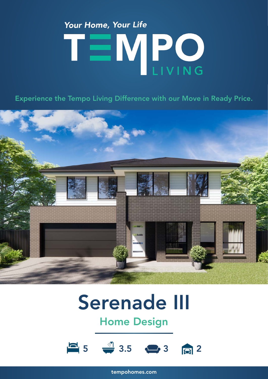# Your Home, Your Life TEMPO

Experience the Tempo Living Difference with our Move in Ready Price.



## Serenade III

### Home Design



tempohomes.com